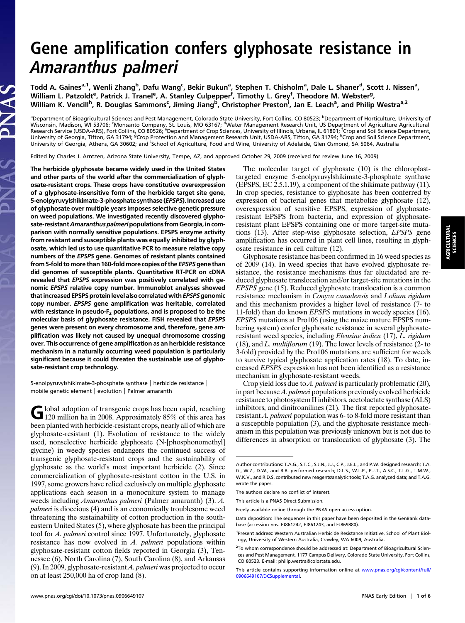## Gene amplification confers glyphosate resistance in Amaranthus palmeri

Todd A. Gaines<sup>a,1</sup>, Wenli Zhang<sup>b</sup>, Dafu Wang<sup>c</sup>, Bekir Bukun<sup>a</sup>, Stephen T. Chisholm<sup>a</sup>, Dale L. Shaner<sup>d</sup>, Scott J. Nissen<sup>a</sup>, William L. Patzoldt<sup>e</sup>, Patrick J. Tranel<sup>e</sup>, A. Stanley Culpepper<sup>f</sup>, Timothy L. Grey<sup>f</sup>, Theodore M. Webster<sup>g</sup>, William K. Vencill<sup>h</sup>, R. Douglas Sammons<sup>c</sup>, Jiming Jiang<sup>b</sup>, Christopher Preston<sup>i</sup>, Jan E. Leach<sup>a</sup>, and Philip Westra<sup>a,2</sup>

<sup>a</sup>Department of Bioagricultural Sciences and Pest Management, Colorado State University, Fort Collins, CO 80523; <sup>b</sup>Department of Horticulture, University of Wisconsin, Madison, WI 53706; 'Monsanto Company, St. Louis, MO 63167; <sup>d</sup>Water Management Research Unit, US Department of Agriculture Agricultural<br>Research Service (USDA-ARS), Fort Collins, CO 80526; <sup>e</sup>Department of Crop University of Georgia, Athens, GA 30602; and School of Agriculture, Food and Wine, University of Adelaide, Glen Osmond, SA 5064, Australia

Edited by Charles J. Arntzen, Arizona State University, Tempe, AZ, and approved October 29, 2009 (received for review June 16, 2009)

The herbicide glyphosate became widely used in the United States and other parts of the world after the commercialization of glyphosate-resistant crops. These crops have constitutive overexpression of a glyphosate-insensitive form of the herbicide target site gene, 5-enolpyruvylshikimate-3-phosphate synthase (EPSPS). Increased use of glyphosate over multiple years imposes selective genetic pressure on weed populations. We investigated recently discovered glyphosate-resistant Amaranthus palmeri populations from Georgia, in comparison with normally sensitive populations. EPSPS enzyme activity from resistant and susceptible plants was equally inhibited by glyphosate, which led us to use quantitative PCR to measure relative copy numbers of the EPSPS gene. Genomes of resistant plants contained from 5-fold to more than 160-fold more copies of the EPSPS gene than did genomes of susceptible plants. Quantitative RT-PCR on cDNA revealed that EPSPS expression was positively correlated with genomic EPSPS relative copy number. Immunoblot analyses showed that increased EPSPS protein level also correlated with EPSPS genomic copy number. EPSPS gene amplification was heritable, correlated with resistance in pseudo- $F_2$  populations, and is proposed to be the molecular basis of glyphosate resistance. FISH revealed that EPSPS genes were present on every chromosome and, therefore, gene amplification was likely not caused by unequal chromosome crossing over. This occurrence of gene amplification as an herbicide resistance mechanism in a naturally occurring weed population is particularly significant because it could threaten the sustainable use of glyphosate-resistant crop technology.

5-enolpyruvylshikimate-3-phosphate synthase | herbicide resistance | mobile genetic element | evolution | Palmer amaranth

Global adoption of transgenic crops has been rapid, reaching 120 million ha in 2008. Approximately 85% of this area has been planted with herbicide-resistant crops, nearly all of which are glyphosate-resistant (1). Evolution of resistance to the widely used, nonselective herbicide glyphosate (N-[phosphonomethyl] glycine) in weedy species endangers the continued success of transgenic glyphosate-resistant crops and the sustainability of glyphosate as the world's most important herbicide (2). Since commercialization of glyphosate-resistant cotton in the U.S. in 1997, some growers have relied exclusively on multiple glyphosate applications each season in a monoculture system to manage weeds including Amaranthus palmeri (Palmer amaranth) (3). A. palmeri is dioecious (4) and is an economically troublesome weed threatening the sustainability of cotton production in the southeastern United States (5), where glyphosate has been the principal tool for A. palmeri control since 1997. Unfortunately, glyphosate resistance has now evolved in A. palmeri populations within glyphosate-resistant cotton fields reported in Georgia (3), Tennessee (6), North Carolina (7), South Carolina (8), and Arkansas (9). In 2009, glyphosate-resistant A. palmeri was projected to occur on at least 250,000 ha of crop land (8).

The molecular target of glyphosate (10) is the chloroplasttargeted enzyme 5-enolpyruvylshikimate-3-phosphate synthase (EPSPS, EC 2.5.1.19), a component of the shikimate pathway (11). In crop species, resistance to glyphosate has been conferred by expression of bacterial genes that metabolize glyphosate (12), overexpression of sensitive EPSPS, expression of glyphosateresistant EPSPS from bacteria, and expression of glyphosateresistant plant EPSPS containing one or more target-site mutations (13). After step-wise glyphosate selection, EPSPS gene amplification has occurred in plant cell lines, resulting in glyphosate resistance in cell culture (12).

Glyphosate resistance has been confirmed in 16 weed species as of 2009 (14). In weed species that have evolved glyphosate resistance, the resistance mechanisms thus far elucidated are reduced glyphosate translocation and/or target-site mutations in the EPSPS gene (15). Reduced glyphosate translocation is a common resistance mechanism in Conyza canadensis and Lolium rigidum and this mechanism provides a higher level of resistance (7- to 11-fold) than do known EPSPS mutations in weedy species (16). EPSPS mutations at Pro106 (using the maize mature EPSPS numbering system) confer glyphosate resistance in several glyphosateresistant weed species, including Eleusine indica (17), L. rigidum  $(18)$ , and *L. multiflorum*  $(19)$ . The lower levels of resistance  $(2 - t_0)$ 3-fold) provided by the Pro106 mutations are sufficient for weeds to survive typical glyphosate application rates (18). To date, increased EPSPS expression has not been identified as a resistance mechanism in glyphosate-resistant weeds.

Crop yield loss due to A. palmeri is particularly problematic  $(20)$ , in part becauseA. palmeri populations previously evolved herbicide resistance to photosystem II inhibitors, acetolactate synthase (ALS) inhibitors, and dinitroanilines (21). The first reported glyphosateresistant A. palmeri population was  $6-$  to 8-fold more resistant than a susceptible population (3), and the glyphosate resistance mechanism in this population was previously unknown but is not due to differences in absorption or translocation of glyphosate (3). The

Author contributions: T.A.G., S.T.C., S.J.N., J.J., C.P., J.E.L., and P.W. designed research; T.A. G., W.Z., D.W., and B.B. performed research; D.L.S., W.L.P., P.J.T., A.S.C., T.L.G., T.M.W., W.K.V., and R.D.S. contributed new reagents/analytic tools; T.A.G. analyzed data; and T.A.G. wrote the paper.

The authors declare no conflict of interest.

This article is a PNAS Direct Submission.

Freely available online through the PNAS open access option.

Data deposition: The sequences in this paper have been deposited in the GenBank database (accession nos. FJ861242, FJ861243, and FJ869880).

<sup>&</sup>lt;sup>1</sup>Present address: Western Australian Herbicide Resistance Initiative, School of Plant Biology, University of Western Australia, Crawley, WA 6009, Australia.

<sup>&</sup>lt;sup>2</sup>To whom correspondence should be addressed at: Department of Bioagricultural Sciences and Pest Management, 1177 Campus Delivery, Colorado State University, Fort Collins, CO 80523. E-mail: [philip.westra@colostate.edu.](mailto:philip.westra@colostate.edu)

This article contains supporting information online at [www.pnas.org/cgi/content/full/](http://www.pnas.org/cgi/content/full/0906649107/DCSupplemental) [0906649107/DCSupplemental](http://www.pnas.org/cgi/content/full/0906649107/DCSupplemental).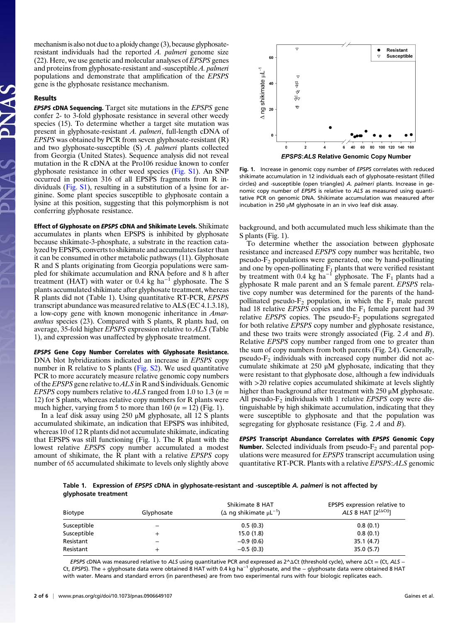mechanism is also not due to a ploidy change (3), because glyphosateresistant individuals had the reported  $A$ . palmeri genome size (22). Here, we use genetic and molecular analyses of EPSPS genes and proteins from glyphosate-resistant and -susceptible A. palmeri populations and demonstrate that amplification of the EPSPS gene is the glyphosate resistance mechanism.

## Results

**EPSPS cDNA Sequencing.** Target site mutations in the *EPSPS* gene confer 2- to 3-fold glyphosate resistance in several other weedy species (15). To determine whether a target site mutation was present in glyphosate-resistant A. palmeri, full-length cDNA of EPSPS was obtained by PCR from seven glyphosate-resistant (R) and two glyphosate-susceptible (S) A. palmeri plants collected from Georgia (United States). Sequence analysis did not reveal mutation in the R cDNA at the Pro106 residue known to confer glyphosate resistance in other weed species [\(Fig. S1\)](http://www.pnas.org/cgi/data/0906649107/DCSupplemental/Supplemental_PDF#nameddest=sfig01). An SNP occurred in position 316 of all EPSPS fragments from R individuals ([Fig. S1\)](http://www.pnas.org/cgi/data/0906649107/DCSupplemental/Supplemental_PDF#nameddest=sfig01), resulting in a substitution of a lysine for arginine. Some plant species susceptible to glyphosate contain a lysine at this position, suggesting that this polymorphism is not conferring glyphosate resistance.

Effect of Glyphosate on EPSPS cDNA and Shikimate Levels. Shikimate accumulates in plants when EPSPS is inhibited by glyphosate because shikimate-3-phosphate, a substrate in the reaction catalyzed by EPSPS, converts to shikimate and accumulates faster than it can be consumed in other metabolic pathways (11). Glyphosate R and S plants originating from Georgia populations were sampled for shikimate accumulation and RNA before and 8 h after treatment (HAT) with water or 0.4 kg ha<sup>-1</sup> glyphosate. The S plants accumulated shikimate after glyphosate treatment, whereas R plants did not (Table 1). Using quantitative RT-PCR, EPSPS transcript abundance was measured relative to ALS (EC 4.1.3.18), a low-copy gene with known monogenic inheritance in Amaranthus species (23). Compared with S plants, R plants had, on average, 35-fold higher EPSPS expression relative to ALS (Table 1), and expression was unaffected by glyphosate treatment.

EPSPS Gene Copy Number Correlates with Glyphosate Resistance. DNA blot hybridizations indicated an increase in EPSPS copy number in R relative to S plants [\(Fig. S2](http://www.pnas.org/cgi/data/0906649107/DCSupplemental/Supplemental_PDF#nameddest=sfig02)). We used quantitative PCR to more accurately measure relative genomic copy numbers of the EPSPS gene relative to  $ALS$  in R and S individuals. Genomic EPSPS copy numbers relative to ALS ranged from 1.0 to 1.3 ( $n =$ 12) for S plants, whereas relative copy numbers for R plants were much higher, varying from 5 to more than 160 ( $n = 12$ ) (Fig. 1).

In a leaf disk assay using 250 μM glyphosate, all 12 S plants accumulated shikimate, an indication that EPSPS was inhibited, whereas 10 of 12 R plants did not accumulate shikimate, indicating that EPSPS was still functioning (Fig. 1). The R plant with the lowest relative EPSPS copy number accumulated a modest amount of shikimate, the  $\tilde{R}$  plant with a relative *EPSPS* copy number of 65 accumulated shikimate to levels only slightly above



Fig. 1. Increase in genomic copy number of EPSPS correlates with reduced shikimate accumulation in 12 individuals each of glyphosate-resistant (filled circles) and -susceptible (open triangles) A. palmeri plants. Increase in genomic copy number of EPSPS is relative to ALS as measured using quantitative PCR on genomic DNA. Shikimate accumulation was measured after incubation in 250 μM glyphosate in an in vivo leaf disk assay.

background, and both accumulated much less shikimate than the S plants (Fig. 1).

To determine whether the association between glyphosate resistance and increased EPSPS copy number was heritable, two pseudo- $F_2$  populations were generated, one by hand-pollinating and one by open-pollinating  $F_1$  plants that were verified resistant by treatment with 0.4 kg ha<sup>-1</sup> glyphosate. The F<sub>1</sub> plants had a glyphosate R male parent and an S female parent. EPSPS relative copy number was determined for the parents of the handpollinated pseudo- $F_2$  population, in which the  $F_1$  male parent had 18 relative *EPSPS* copies and the  $F_1$  female parent had 39 relative *EPSPS* copies. The pseudo- $F_2$  populations segregated for both relative EPSPS copy number and glyphosate resistance, and these two traits were strongly associated (Fig. 2 A and B). Relative EPSPS copy number ranged from one to greater than the sum of copy numbers from both parents (Fig. 2A). Generally,  $pseudo-F<sub>2</sub>$  individuals with increased copy number did not accumulate shikimate at 250 μM glyphosate, indicating that they were resistant to that glyphosate dose, although a few individuals with >20 relative copies accumulated shikimate at levels slightly higher than background after treatment with 250 μM glyphosate. All pseudo- $F_2$  individuals with 1 relative *EPSPS* copy were distinguishable by high shikimate accumulation, indicating that they were susceptible to glyphosate and that the population was segregating for glyphosate resistance (Fig. 2 A and B).

EPSPS Transcript Abundance Correlates with EPSPS Genomic Copy **Number.** Selected individuals from pseudo- $F_2$  and parental populations were measured for EPSPS transcript accumulation using quantitative RT-PCR. Plants with a relative EPSPS:ALS genomic

Table 1. Expression of EPSPS cDNA in glyphosate-resistant and -susceptible A. palmeri is not affected by glyphosate treatment

| Biotype     | Glyphosate               | Shikimate 8 HAT<br>$(\Delta$ ng shikimate $\mu L^{-1}$ ) | EPSPS expression relative to<br>ALS 8 HAT $[2^{(\Delta \text{Ct})}]$ |
|-------------|--------------------------|----------------------------------------------------------|----------------------------------------------------------------------|
| Susceptible | -                        | 0.5(0.3)                                                 | 0.8(0.1)                                                             |
| Susceptible | ÷                        | 15.0(1.8)                                                | 0.8(0.1)                                                             |
| Resistant   | $\overline{\phantom{a}}$ | $-0.9(0.6)$                                              | 35.1(4.7)                                                            |
| Resistant   | -                        | $-0.5(0.3)$                                              | 35.0(5.7)                                                            |

EPSPS cDNA was measured relative to ALS using quantitative PCR and expressed as  $2^{\wedge} \Delta$ Ct (threshold cycle), where  $\Delta$ Ct = (Ct, ALS – Ct, EPSPS). The + glyphosate data were obtained 8 HAT with 0.4 kg ha<sup>−1</sup> glyphosate, and the – glyphosate data were obtained 8 HAT with water. Means and standard errors (in parentheses) are from two experimental runs with four biologic replicates each.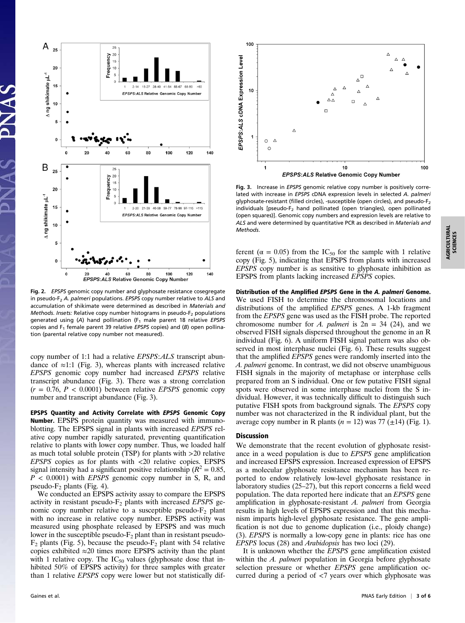

Fig. 2. EPSPS genomic copy number and glyphosate resistance cosegregate in pseudo-F<sub>2</sub> A. palmeri populations. EPSPS copy number relative to ALS and accumulation of shikimate were determined as described in Materials and Methods. Insets: Relative copy number histograms in pseudo- $F_2$  populations generated using (A) hand pollination  $(F_1 \text{ male parent } 18 \text{ relative } EPSPS)$ copies and  $F_1$  female parent 39 relative EPSPS copies) and (B) open pollination (parental relative copy number not measured).

copy number of 1:1 had a relative EPSPS:ALS transcript abundance of  $\approx$ 1:1 (Fig. 3), whereas plants with increased relative EPSPS genomic copy number had increased EPSPS relative transcript abundance (Fig. 3). There was a strong correlation  $(r = 0.76, P < 0.0001)$  between relative *EPSPS* genomic copy number and transcript abundance (Fig. 3).

EPSPS Quantity and Activity Correlate with EPSPS Genomic Copy Number. EPSPS protein quantity was measured with immunoblotting. The EPSPS signal in plants with increased EPSPS relative copy number rapidly saturated, preventing quantification relative to plants with lower copy number. Thus, we loaded half as much total soluble protein (TSP) for plants with >20 relative EPSPS copies as for plants with <20 relative copies. EPSPS signal intensity had a significant positive relationship ( $R^2 = 0.85$ ,  $P < 0.0001$ ) with *EPSPS* genomic copy number in S, R, and pseudo- $F_2$  plants (Fig. 4).

We conducted an EPSPS activity assay to compare the EPSPS activity in resistant pseudo- $F_2$  plants with increased *EPSPS* genomic copy number relative to a susceptible pseudo- $F_2$  plant with no increase in relative copy number. EPSPS activity was measured using phosphate released by EPSPS and was much lower in the susceptible pseudo- $F_2$  plant than in resistant pseudo- $F_2$  plants (Fig. 5), because the pseudo- $F_2$  plant with 54 relative copies exhibited  $\approx 20$  times more EPSPS activity than the plant with 1 relative copy. The  $IC_{50}$  values (glyphosate dose that inhibited 50% of EPSPS activity) for three samples with greater than 1 relative EPSPS copy were lower but not statistically dif-



Fig. 3. Increase in EPSPS genomic relative copy number is positively correlated with increase in EPSPS cDNA expression levels in selected A. palmeri glyphosate-resistant (filled circles), -susceptible (open circles), and pseudo- $F_2$ individuals [pseudo-F<sub>2</sub> hand pollinated (open triangles), open pollinated (open squares)]. Genomic copy numbers and expression levels are relative to ALS and were determined by quantitative PCR as described in Materials and Methods.

ferent ( $\alpha = 0.05$ ) from the IC<sub>50</sub> for the sample with 1 relative copy (Fig. 5), indicating that EPSPS from plants with increased EPSPS copy number is as sensitive to glyphosate inhibition as EPSPS from plants lacking increased EPSPS copies.

Distribution of the Amplified EPSPS Gene in the A. palmeri Genome. We used FISH to determine the chromosomal locations and distributions of the amplified EPSPS genes. A 1-kb fragment from the EPSPS gene was used as the FISH probe. The reported chromosome number for A. palmeri is  $2n = 34$  (24), and we observed FISH signals dispersed throughout the genome in an R individual (Fig. 6). A uniform FISH signal pattern was also observed in most interphase nuclei (Fig. 6). These results suggest that the amplified EPSPS genes were randomly inserted into the A. palmeri genome. In contrast, we did not observe unambiguous FISH signals in the majority of metaphase or interphase cells prepared from an S individual. One or few putative FISH signal spots were observed in some interphase nuclei from the S individual. However, it was technically difficult to distinguish such putative FISH spots from background signals. The EPSPS copy number was not characterized in the R individual plant, but the average copy number in R plants ( $n = 12$ ) was 77 ( $\pm 14$ ) (Fig. 1).

## Discussion

We demonstrate that the recent evolution of glyphosate resistance in a weed population is due to EPSPS gene amplification and increased EPSPS expression. Increased expression of EPSPS as a molecular glyphosate resistance mechanism has been reported to endow relatively low-level glyphosate resistance in laboratory studies (25–27), but this report concerns a field weed population. The data reported here indicate that an EPSPS gene amplification in glyphosate-resistant A. palmeri from Georgia results in high levels of EPSPS expression and that this mechanism imparts high-level glyphosate resistance. The gene amplification is not due to genome duplication (i.e., ploidy change) (3). EPSPS is normally a low-copy gene in plants: rice has one EPSPS locus (28) and Arabidopsis has two loci (29).

It is unknown whether the EPSPS gene amplification existed within the A. palmeri population in Georgia before glyphosate selection pressure or whether EPSPS gene amplification occurred during a period of <7 years over which glyphosate was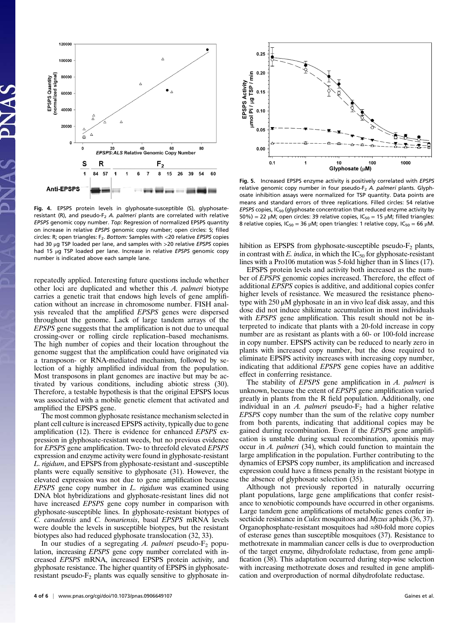

Fig. 4. EPSPS protein levels in glyphosate-susceptible (S), glyphosateresistant (R), and pseudo- $F_2$  A. palmeri plants are correlated with relative EPSPS genomic copy number. Top: Regression of normalized EPSPS quantity on increase in relative EPSPS genomic copy number; open circles: S; filled circles: R; open triangles:  $F_2$ . Bottom: Samples with <20 relative EPSPS copies had 30 μg TSP loaded per lane, and samples with >20 relative EPSPS copies had 15 μg TSP loaded per lane. Increase in relative EPSPS genomic copy number is indicated above each sample lane.

repeatedly applied. Interesting future questions include whether other loci are duplicated and whether this A. palmeri biotype carries a genetic trait that endows high levels of gene amplification without an increase in chromosome number. FISH analysis revealed that the amplified EPSPS genes were dispersed throughout the genome. Lack of large tandem arrays of the EPSPS gene suggests that the amplification is not due to unequal crossing-over or rolling circle replication–based mechanisms. The high number of copies and their location throughout the genome suggest that the amplification could have originated via a transposon- or RNA-mediated mechanism, followed by selection of a highly amplified individual from the population. Most transposons in plant genomes are inactive but may be activated by various conditions, including abiotic stress (30). Therefore, a testable hypothesis is that the original EPSPS locus was associated with a mobile genetic element that activated and amplified the EPSPS gene.

The most common glyphosate resistance mechanism selected in plant cell culture is increased EPSPS activity, typically due to gene amplification (12). There is evidence for enhanced EPSPS expression in glyphosate-resistant weeds, but no previous evidence for EPSPS gene amplification. Two- to threefold elevated EPSPS expression and enzyme activity were found in glyphosate-resistant L. rigidum, and EPSPS from glyphosate-resistant and -susceptible plants were equally sensitive to glyphosate (31). However, the elevated expression was not due to gene amplification because EPSPS gene copy number in L. rigidum was examined using DNA blot hybridizations and glyphosate-resistant lines did not have increased *EPSPS* gene copy number in comparison with glyphosate-susceptible lines. In glyphosate-resistant biotypes of C. canadensis and C. bonariensis, basal EPSPS mRNA levels were double the levels in susceptible biotypes, but the resistant biotypes also had reduced glyphosate translocation (32, 33).

In our studies of a segregating A. palmeri pseudo- $F_2$  population, increasing EPSPS gene copy number correlated with increased EPSPS mRNA, increased EPSPS protein activity, and glyphosate resistance. The higher quantity of EPSPS in glyphosateresistant pseudo- $F_2$  plants was equally sensitive to glyphosate in-



Fig. 5. Increased EPSPS enzyme activity is positively correlated with EPSPS relative genomic copy number in four pseudo-F<sub>2</sub> A. palmeri plants. Glyphosate inhibition assays were normalized for TSP quantity. Data points are means and standard errors of three replications. Filled circles: 54 relative EPSPS copies,  $IC_{50}$  (glyphosate concentration that reduced enzyme activity by  $50\%) = 22 \mu$ M; open circles: 39 relative copies, IC<sub>50</sub> = 15 μM; filled triangles: 8 relative copies,  $IC_{50} = 36 \mu M$ ; open triangles: 1 relative copy,  $IC_{50} = 66 \mu M$ .

hibition as EPSPS from glyphosate-susceptible pseudo- $F_2$  plants, in contrast with E. indica, in which the  $IC_{50}$  for glyphosate-resistant lines with a Pro106 mutation was 5-fold higher than in S lines (17).

EPSPS protein levels and activity both increased as the number of EPSPS genomic copies increased. Therefore, the effect of additional EPSPS copies is additive, and additional copies confer higher levels of resistance. We measured the resistance phenotype with 250 μM glyphosate in an in vivo leaf disk assay, and this dose did not induce shikimate accumulation in most individuals with EPSPS gene amplification. This result should not be interpreted to indicate that plants with a 20-fold increase in copy number are as resistant as plants with a 60- or 100-fold increase in copy number. EPSPS activity can be reduced to nearly zero in plants with increased copy number, but the dose required to eliminate EPSPS activity increases with increasing copy number, indicating that additional EPSPS gene copies have an additive effect in conferring resistance.

The stability of EPSPS gene amplification in A. palmeri is unknown, because the extent of EPSPS gene amplification varied greatly in plants from the R field population. Additionally, one individual in an A. palmeri pseudo- $F_2$  had a higher relative EPSPS copy number than the sum of the relative copy number from both parents, indicating that additional copies may be gained during recombination. Even if the EPSPS gene amplification is unstable during sexual recombination, apomixis may occur in A. palmeri (34), which could function to maintain the large amplification in the population. Further contributing to the dynamics of EPSPS copy number, its amplification and increased expression could have a fitness penalty in the resistant biotype in the absence of glyphosate selection (35).

Although not previously reported in naturally occurring plant populations, large gene amplifications that confer resistance to xenobiotic compounds have occurred in other organisms. Large tandem gene amplifications of metabolic genes confer insecticide resistance in *Culex* mosquitoes and *Myzus* aphids (36, 37). Organophosphate-resistant mosquitoes had ≈80-fold more copies of esterase genes than susceptible mosquitoes (37). Resistance to methotrexate in mammalian cancer cells is due to overproduction of the target enzyme, dihydrofolate reductase, from gene amplification (38). This adaptation occurred during step-wise selection with increasing methotrexate doses and resulted in gene amplification and overproduction of normal dihydrofolate reductase.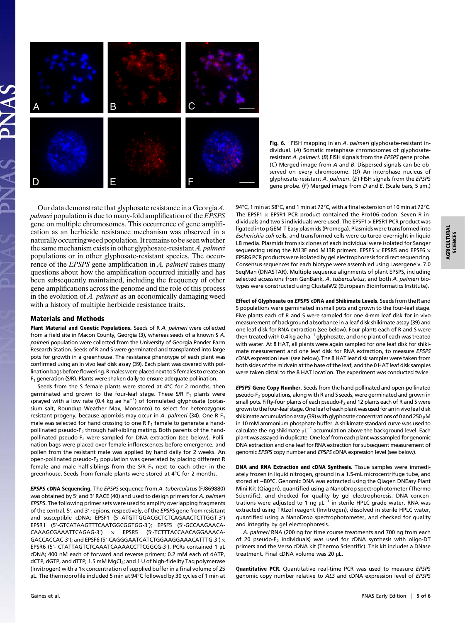AGRICULTURAL SCIENCES

**AGRICULTURAL**<br>SCIENCES



Fig. 6. FISH mapping in an A. palmeri glyphosate-resistant individual. (A) Somatic metaphase chromosomes of glyphosateresistant A. palmeri. (B) FISH signals from the EPSPS gene probe. (C) Merged image from A and B. Dispersed signals can be observed on every chromosome. (D) An interphase nucleus of glyphosate-resistant A. palmeri. (E) FISH signals from the EPSPS gene probe. (F) Merged image from D and E. (Scale bars, 5  $\mu$ m.)

Our data demonstrate that glyphosate resistance in a GeorgiaA. palmeri population is due to many-fold amplification of the EPSPS gene on multiple chromosomes. This occurrence of gene amplification as an herbicide resistance mechanism was observed in a naturally occurring weed population. It remains to be seen whether the same mechanism exists in other glyphosate-resistant *A. palmeri* populations or in other glyphosate-resistant species. The occurrence of the *EPSPS* gene amplification in *A. palmeri* raises many questions about how the amplification occurred initially and has been subsequently maintained, including the frequency of other gene amplifications across the genome and the role of this process in the evolution of A. palmeri as an economically damaging weed with a history of multiple herbicide resistance traits.

## Materials and Methods

Plant Material and Genetic Populations. Seeds of R A. palmeri were collected from a field site in Macon County, Georgia (3), whereas seeds of a known S A. palmeri population were collected from the University of Georgia Ponder Farm Research Station. Seeds of R and S were germinated and transplanted into large pots for growth in a greenhouse. The resistance phenotype of each plant was confirmed using an in vivo leaf disk assay (39). Each plant was covered with pollination bags before flowering. R males were placed next to S females to create an  $F_1$  generation (S/R). Plants were shaken daily to ensure adequate pollination.

Seeds from the S female plants were stored at 4°C for 2 months, then germinated and grown to the four-leaf stage. These S/R  $F_1$  plants were sprayed with a low rate (0.4 kg ae ha<sup>-1</sup>) of formulated glyphosate (potassium salt, Roundup Weather Max, Monsanto) to select for heterozygous resistant progeny, because apomixis may occur in A, palmeri (34). One R  $F_1$ male was selected for hand crossing to one R  $F_1$  female to generate a handpollinated pseudo-F<sub>2</sub> through half-sibling mating. Both parents of the handpollinated pseudo-F<sub>2</sub> were sampled for DNA extraction (see below). Pollination bags were placed over female inflorescences before emergence, and pollen from the resistant male was applied by hand daily for 2 weeks. An open-pollinated pseudo-F<sub>2</sub> population was generated by placing different R female and male half-siblings from the S/R  $F_1$  next to each other in the greenhouse. Seeds from female plants were stored at 4°C for 2 months.

EPSPS cDNA Sequencing. The EPSPS sequence from A. tuberculatus (FJ869880) was obtained by 5' and 3' RACE (40) and used to design primers for A. palmeri EPSPS. The following primer sets were used to amplify overlapping fragments of the central, 5', and 3' regions, respectively, of the EPSPS gene from resistant and susceptible cDNA: EPSF1 (5′-ATGTTGGACGCTCTCAGAACTCTTGGT-3′) EPSR1 (5′-GTCATAAGTTTCAATGGCGGTGG-3′); EPSF5 (5′-GCCAAGAACA-CAAAGCGAAATTCAGAG-3′) × EPSR5 (5′-TCTTTACCAACAGGAAACA-GACCACCAC-3′); and EPSF6 (5′-CAGGGAATCATCTGGAAGGAAACATTTG-3′) × EPSR6 (5′- CTATTAGTCTCAAATCAAAACCTTCGGCG-3′). PCRs contained 1 μL cDNA; 400 nM each of forward and reverse primers; 0.2 mM each of dATP, dCTP, dGTP, and dTTP; 1.5 mM MgCl<sub>2</sub>; and 1 U of high-fidelity Taq polymerase (Invitrogen) with a  $1 \times$  concentration of supplied buffer in a final volume of 25 μL. The thermoprofile included 5 min at 94°C followed by 30 cycles of 1 min at 94°C, 1 min at 58°C, and 1 min at 72°C, with a final extension of 10 min at 72°C. The EPSF1  $\times$  EPSR1 PCR product contained the Pro106 codon. Seven R individuals and two S individuals were used. The EPSF1  $\times$  EPSR1 PCR product was ligated into pGEM-T Easy plasmids (Promega). Plasmids were transformed into Escherichia coli cells, and transformed cells were cultured overnight in liquid LB media. Plasmids from six clones of each individual were isolated for Sanger sequencing using the M13F and M13R primers. EPSF5  $\times$  EPSR5 and EPSF6  $\times$ EPSR6 PCR products were isolated by gel electrophoresis for direct sequencing. Consensus sequences for each biotype were assembled using Lasergene v. 7.0 SeqMan (DNASTAR). Multiple sequence alignments of plant EPSPS, including selected accessions from GenBank, A. tuberculatus, and both A. palmeri biotypes were constructed using ClustalW2 (European Bioinformatics Institute).

Effect of Glyphosate on EPSPS cDNA and Shikimate Levels. Seeds from the R and S populations were germinated in small pots and grown to the four-leaf stage. Five plants each of R and S were sampled for one 4-mm leaf disk for in vivo measurement of background absorbance in a leaf disk shikimate assay (39) and one leaf disk for RNA extraction (see below). Four plants each of R and S were then treated with 0.4 kg ae ha<sup>-1</sup> glyphosate, and one plant of each was treated with water. At 8 HAT, all plants were again sampled for one leaf disk for shikimate measurement and one leaf disk for RNA extraction, to measure EPSPS cDNA expression level (see below). The 8 HAT leaf disk samples were taken from both sides of the midvein at the base of the leaf, and the 0 HAT leaf disk samples were taken distal to the 8 HAT location. The experiment was conducted twice.

EPSPS Gene Copy Number. Seeds from the hand-pollinated and open-pollinated pseudo-F<sub>2</sub> populations, along with R and S seeds, were germinated and grown in small pots. Fifty-four plants of each pseudo-F<sub>2</sub> and 12 plants each of R and S were grown to the four-leaf stage. One leaf of each plant was used for an in vivo leaf disk shikimate accumulation assay (39) with glyphosate concentrations of 0 and 250  $\mu$ M in 10 mM ammonium phosphate buffer. A shikimate standard curve was used to calculate the ng shikimate  $\mu$ L<sup>-1</sup> accumulation above the background level. Each plant was assayed in duplicate. One leaf from each plant was sampled for genomic DNA extraction and one leaf for RNA extraction for subsequent measurement of genomic EPSPS copy number and EPSPS cDNA expression level (see below).

DNA and RNA Extraction and cDNA Synthesis. Tissue samples were immediately frozen in liquid nitrogen, ground in a 1.5-mL microcentrifuge tube, and stored at −80°C. Genomic DNA was extracted using the Qiagen DNEasy Plant Mini Kit (Qiagen), quantified using a NanoDrop spectrophotometer (Thermo Scientific), and checked for quality by gel electrophoresis. DNA concentrations were adjusted to 1 ng μL<sup>-1</sup> in sterile HPLC grade water. RNA was extracted using TRIzol reagent (Invitrogen), dissolved in sterile HPLC water, quantified using a NanoDrop spectrophotometer, and checked for quality and integrity by gel electrophoresis.

A. palmeri RNA (200 ng for time course treatments and 700 ng from each of 20 pseudo-F<sub>2</sub> individuals) was used for cDNA synthesis with oligo-DT primers and the Verso cDNA kit (Thermo Scientific). This kit includes a DNase treatment. Final cDNA volume was 20 μL.

Quantitative PCR. Quantitative real-time PCR was used to measure EPSPS genomic copy number relative to ALS and cDNA expression level of EPSPS